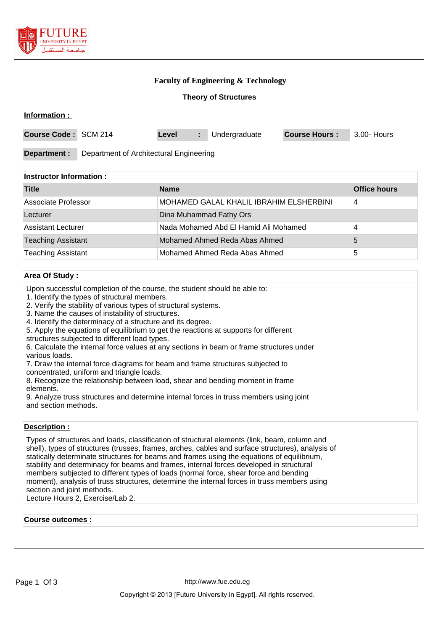

### **Faculty of Engineering & Technology**

**Theory of Structures**

| Information:         |                                         |       |  |               |                      |             |
|----------------------|-----------------------------------------|-------|--|---------------|----------------------|-------------|
| Course Code: SCM 214 |                                         | Level |  | Undergraduate | <b>Course Hours:</b> | 3.00- Hours |
| Department :         | Department of Architectural Engineering |       |  |               |                      |             |

### **Instructor Information :**

| <b>Title</b>              | <b>Name</b>                             | <b>Office hours</b> |
|---------------------------|-----------------------------------------|---------------------|
| Associate Professor       | MOHAMED GALAL KHALIL IBRAHIM ELSHERBINI | 4                   |
| Lecturer                  | Dina Muhammad Fathy Ors                 |                     |
| Assistant Lecturer        | Nada Mohamed Abd El Hamid Ali Mohamed   | 4                   |
| <b>Teaching Assistant</b> | Mohamed Ahmed Reda Abas Ahmed           |                     |
| <b>Teaching Assistant</b> | Mohamed Ahmed Reda Abas Ahmed           | 5                   |

## **Area Of Study :**

Upon successful completion of the course, the student should be able to:

- 1. Identify the types of structural members.
- 2. Verify the stability of various types of structural systems.
- 3. Name the causes of instability of structures.

4. Identify the determinacy of a structure and its degree.

- 5. Apply the equations of equilibrium to get the reactions at supports for different
- structures subjected to different load types.

6. Calculate the internal force values at any sections in beam or frame structures under various loads.

7. Draw the internal force diagrams for beam and frame structures subjected to concentrated, uniform and triangle loads.

8. Recognize the relationship between load, shear and bending moment in frame elements.

9. Analyze truss structures and determine internal forces in truss members using joint and section methods.

#### **Description :**

Types of structures and loads, classification of structural elements (link, beam, column and shell), types of structures (trusses, frames, arches, cables and surface structures), analysis of statically determinate structures for beams and frames using the equations of equilibrium, stability and determinacy for beams and frames, internal forces developed in structural members subjected to different types of loads (normal force, shear force and bending moment), analysis of truss structures, determine the internal forces in truss members using section and joint methods.

Lecture Hours 2, Exercise/Lab 2.

#### **Course outcomes :**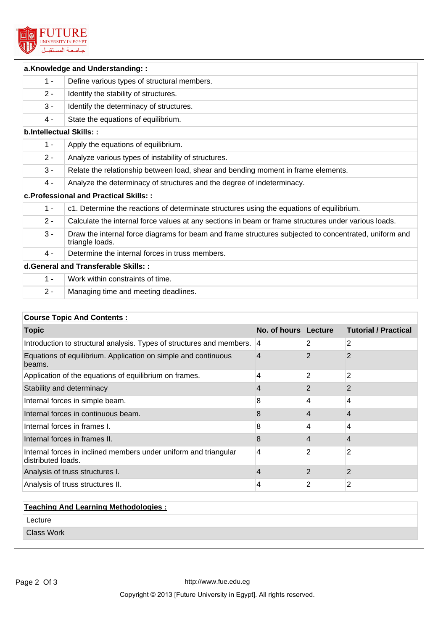

| a.Knowledge and Understanding::     |                                                                                                                          |  |  |  |
|-------------------------------------|--------------------------------------------------------------------------------------------------------------------------|--|--|--|
| $1 -$                               | Define various types of structural members.                                                                              |  |  |  |
| $2 -$                               | Identify the stability of structures.                                                                                    |  |  |  |
| $3 -$                               | Identify the determinacy of structures.                                                                                  |  |  |  |
| 4 -                                 | State the equations of equilibrium.                                                                                      |  |  |  |
| <b>b.Intellectual Skills::</b>      |                                                                                                                          |  |  |  |
| $1 -$                               | Apply the equations of equilibrium.                                                                                      |  |  |  |
| $2 -$                               | Analyze various types of instability of structures.                                                                      |  |  |  |
| $3 -$                               | Relate the relationship between load, shear and bending moment in frame elements.                                        |  |  |  |
| 4 -                                 | Analyze the determinacy of structures and the degree of indeterminacy.                                                   |  |  |  |
|                                     | c. Professional and Practical Skills: :                                                                                  |  |  |  |
| $1 -$                               | c1. Determine the reactions of determinate structures using the equations of equilibrium.                                |  |  |  |
| $2 -$                               | Calculate the internal force values at any sections in beam or frame structures under various loads.                     |  |  |  |
| $3 -$                               | Draw the internal force diagrams for beam and frame structures subjected to concentrated, uniform and<br>triangle loads. |  |  |  |
| 4 -                                 | Determine the internal forces in truss members.                                                                          |  |  |  |
| d.General and Transferable Skills:: |                                                                                                                          |  |  |  |
| $1 -$                               | Work within constraints of time.                                                                                         |  |  |  |
| $2 -$                               | Managing time and meeting deadlines.                                                                                     |  |  |  |

# **Course Topic And Contents :**

| <b>Topic</b>                                                                           | No. of hours Lecture |   | <b>Tutorial / Practical</b> |
|----------------------------------------------------------------------------------------|----------------------|---|-----------------------------|
| Introduction to structural analysis. Types of structures and members. 4                |                      | 2 | 2                           |
| Equations of equilibrium. Application on simple and continuous<br>beams.               | 4                    | 2 | $\overline{2}$              |
| Application of the equations of equilibrium on frames.                                 | $\overline{4}$       | 2 | 2                           |
| Stability and determinacy                                                              | 4                    | 2 | $\overline{2}$              |
| Internal forces in simple beam.                                                        | 8                    | 4 | 4                           |
| Internal forces in continuous beam.                                                    | 8                    | 4 | 4                           |
| Internal forces in frames I.                                                           | 8                    | 4 | 4                           |
| Internal forces in frames II.                                                          | 8                    | 4 | 4                           |
| Internal forces in inclined members under uniform and triangular<br>distributed loads. | 4                    | 2 | 2                           |
| Analysis of truss structures I.                                                        | 4                    | 2 | $\overline{2}$              |
| Analysis of truss structures II.                                                       | 4                    | 2 | 2                           |

| <b>Teaching And Learning Methodologies:</b> |  |  |  |
|---------------------------------------------|--|--|--|
| Lecture                                     |  |  |  |
| <b>Class Work</b>                           |  |  |  |
|                                             |  |  |  |